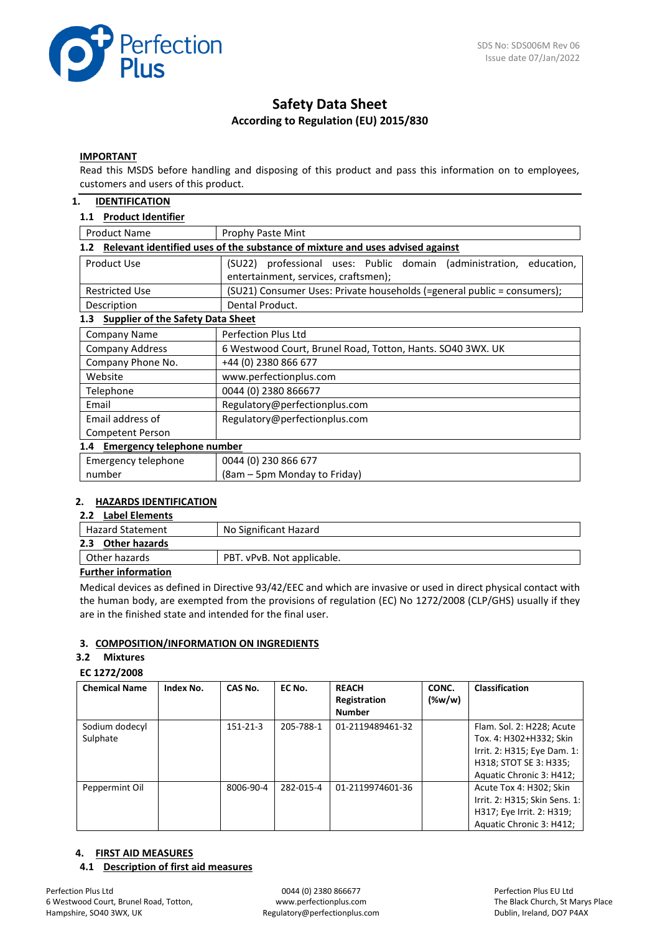

# **Safety Data Sheet According to Regulation (EU) 2015/830**

### **IMPORTANT**

Read this MSDS before handling and disposing of this product and pass this information on to employees, customers and users of this product.

### **1. IDENTIFICATION**

### **1.1 Product Identifier**

| <b>Product Name</b>                                                                  | <b>Prophy Paste Mint</b>                                                  |  |  |  |  |  |
|--------------------------------------------------------------------------------------|---------------------------------------------------------------------------|--|--|--|--|--|
| Relevant identified uses of the substance of mixture and uses advised against<br>1.2 |                                                                           |  |  |  |  |  |
| Product Use                                                                          | professional uses: Public domain (administration,<br>education,<br>(SU22) |  |  |  |  |  |
|                                                                                      | entertainment, services, craftsmen);                                      |  |  |  |  |  |
| <b>Restricted Use</b>                                                                | (SU21) Consumer Uses: Private households (=general public = consumers);   |  |  |  |  |  |
| Description                                                                          | Dental Product.                                                           |  |  |  |  |  |
| <b>Supplier of the Safety Data Sheet</b><br>1.3                                      |                                                                           |  |  |  |  |  |
| Company Name                                                                         | <b>Perfection Plus Ltd</b>                                                |  |  |  |  |  |
| <b>Company Address</b>                                                               | 6 Westwood Court, Brunel Road, Totton, Hants. SO40 3WX. UK                |  |  |  |  |  |
| Company Phone No.                                                                    | +44 (0) 2380 866 677                                                      |  |  |  |  |  |
| Website                                                                              | www.perfectionplus.com                                                    |  |  |  |  |  |
| Telephone                                                                            | 0044 (0) 2380 866677                                                      |  |  |  |  |  |
| Email                                                                                | Regulatory@perfectionplus.com                                             |  |  |  |  |  |
| Email address of                                                                     | Regulatory@perfectionplus.com                                             |  |  |  |  |  |
| <b>Competent Person</b>                                                              |                                                                           |  |  |  |  |  |
| 1.4 Emergency telephone number                                                       |                                                                           |  |  |  |  |  |
| Emergency telephone                                                                  | 0044 (0) 230 866 677                                                      |  |  |  |  |  |
| number                                                                               | (8am – 5pm Monday to Friday)                                              |  |  |  |  |  |

# **2. HAZARDS IDENTIFICATION**

# **2.2 Label Elements**

| No Significant Hazard      |
|----------------------------|
|                            |
| PBT. vPvB. Not applicable. |
|                            |

### **Further information**

Medical devices as defined in Directive 93/42/EEC and which are invasive or used in direct physical contact with the human body, are exempted from the provisions of regulation (EC) No 1272/2008 (CLP/GHS) usually if they are in the finished state and intended for the final user.

### **3. COMPOSITION/INFORMATION ON INGREDIENTS**

#### **3.2 Mixtures**

### **EC 1272/2008**

| <b>Chemical Name</b>       | Index No. | CAS No.        | EC No.    | <b>REACH</b><br>Registration<br><b>Number</b> | CONC.<br>$(\%w/w)$ | <b>Classification</b>                                                                                                                     |
|----------------------------|-----------|----------------|-----------|-----------------------------------------------|--------------------|-------------------------------------------------------------------------------------------------------------------------------------------|
| Sodium dodecyl<br>Sulphate |           | $151 - 21 - 3$ | 205-788-1 | 01-2119489461-32                              |                    | Flam. Sol. 2: H228; Acute<br>Tox. 4: H302+H332; Skin<br>Irrit. 2: H315; Eye Dam. 1:<br>H318; STOT SE 3: H335;<br>Aquatic Chronic 3: H412; |
| Peppermint Oil             |           | 8006-90-4      | 282-015-4 | 01-2119974601-36                              |                    | Acute Tox 4: H302; Skin<br>Irrit. 2: H315; Skin Sens. 1:<br>H317; Eye Irrit. 2: H319;<br>Aquatic Chronic 3: H412;                         |

# **4. FIRST AID MEASURES**

#### **4.1 Description of first aid measures**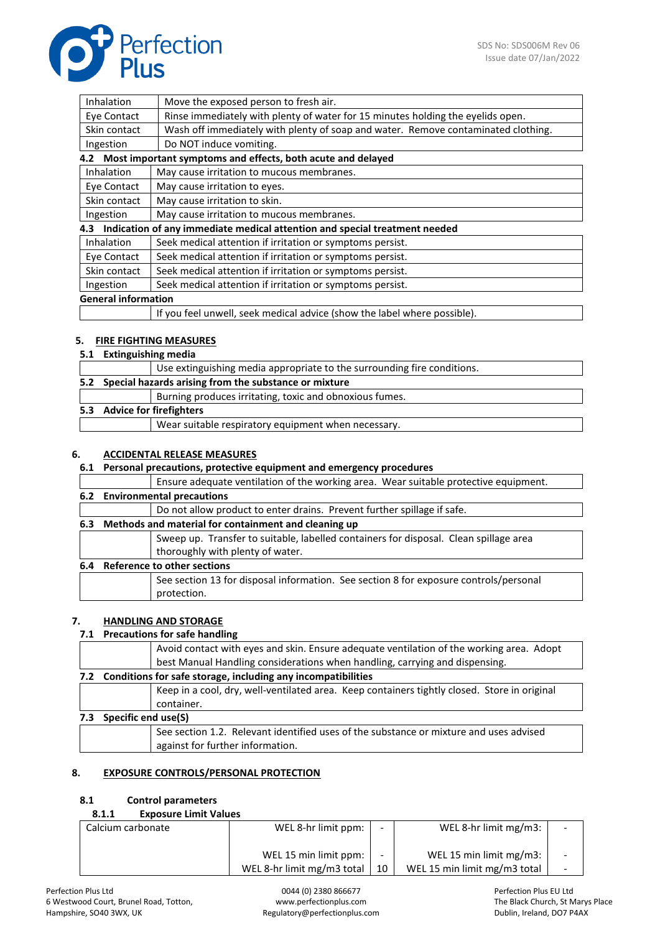

| Inhalation                                                             | Move the exposed person to fresh air.                                             |  |
|------------------------------------------------------------------------|-----------------------------------------------------------------------------------|--|
| Eye Contact                                                            | Rinse immediately with plenty of water for 15 minutes holding the eyelids open.   |  |
| Skin contact                                                           | Wash off immediately with plenty of soap and water. Remove contaminated clothing. |  |
| Ingestion                                                              | Do NOT induce vomiting.                                                           |  |
|                                                                        | 4.2 Most important symptoms and effects, both acute and delayed                   |  |
| Inhalation                                                             | May cause irritation to mucous membranes.                                         |  |
| Eye Contact                                                            | May cause irritation to eyes.                                                     |  |
| Skin contact                                                           | May cause irritation to skin.                                                     |  |
| May cause irritation to mucous membranes.<br>Ingestion                 |                                                                                   |  |
|                                                                        | 4.3 Indication of any immediate medical attention and special treatment needed    |  |
| <b>Inhalation</b>                                                      | Seek medical attention if irritation or symptoms persist.                         |  |
| Eye Contact                                                            | Seek medical attention if irritation or symptoms persist.                         |  |
| Skin contact                                                           | Seek medical attention if irritation or symptoms persist.                         |  |
| Seek medical attention if irritation or symptoms persist.<br>Ingestion |                                                                                   |  |
| <b>General information</b>                                             |                                                                                   |  |
|                                                                        | If you feel unwell, seek medical advice (show the label where possible).          |  |

# **5. FIRE FIGHTING MEASURES**

# **5.1 Extinguishing media**

|                             | Use extinguishing media appropriate to the surrounding fire conditions. |  |  |  |
|-----------------------------|-------------------------------------------------------------------------|--|--|--|
|                             | 5.2 Special hazards arising from the substance or mixture               |  |  |  |
|                             | Burning produces irritating, toxic and obnoxious fumes.                 |  |  |  |
| 5.3 Advice for firefighters |                                                                         |  |  |  |
|                             | Wear suitable respiratory equipment when necessary.                     |  |  |  |

# **6. ACCIDENTAL RELEASE MEASURES**

# **6.1 Personal precautions, protective equipment and emergency procedures**

|     |                                    | Ensure adequate ventilation of the working area. Wear suitable protective equipment.  |  |  |  |
|-----|------------------------------------|---------------------------------------------------------------------------------------|--|--|--|
|     | 6.2 Environmental precautions      |                                                                                       |  |  |  |
|     |                                    | Do not allow product to enter drains. Prevent further spillage if safe.               |  |  |  |
| 6.3 |                                    | Methods and material for containment and cleaning up                                  |  |  |  |
|     |                                    | Sweep up. Transfer to suitable, labelled containers for disposal. Clean spillage area |  |  |  |
|     |                                    | thoroughly with plenty of water.                                                      |  |  |  |
| 6.4 | <b>Reference to other sections</b> |                                                                                       |  |  |  |
|     |                                    | See section 13 for disposal information. See section 8 for exposure controls/personal |  |  |  |
|     |                                    | protection.                                                                           |  |  |  |
|     |                                    |                                                                                       |  |  |  |

# **7. HANDLING AND STORAGE**

### **7.1 Precautions for safe handling**

|                                                                                              | Avoid contact with eyes and skin. Ensure adequate ventilation of the working area. Adopt |  |  |  |  |
|----------------------------------------------------------------------------------------------|------------------------------------------------------------------------------------------|--|--|--|--|
|                                                                                              | best Manual Handling considerations when handling, carrying and dispensing.              |  |  |  |  |
| 7.2 Conditions for safe storage, including any incompatibilities                             |                                                                                          |  |  |  |  |
| Keep in a cool, dry, well-ventilated area. Keep containers tightly closed. Store in original |                                                                                          |  |  |  |  |
|                                                                                              | container.                                                                               |  |  |  |  |
| Specific end use(S)<br>7.3                                                                   |                                                                                          |  |  |  |  |
|                                                                                              | See section 1.2. Relevant identified uses of the substance or mixture and uses advised   |  |  |  |  |
|                                                                                              | against for further information.                                                         |  |  |  |  |
|                                                                                              |                                                                                          |  |  |  |  |

# **8. EXPOSURE CONTROLS/PERSONAL PROTECTION**

### **8.1 Control parameters**

| <b>Exposure Limit Values</b> |  |
|------------------------------|--|
|                              |  |

| Calcium carbonate | WEL 8-hr limit ppm:        |    | WEL 8-hr limit $mg/m3$ :     | $\overline{\phantom{0}}$ |
|-------------------|----------------------------|----|------------------------------|--------------------------|
|                   | WEL 15 min limit ppm:      |    | WEL 15 min limit $mg/m3$ :   | $\overline{\phantom{a}}$ |
|                   | WEL 8-hr limit mg/m3 total | 10 | WEL 15 min limit mg/m3 total |                          |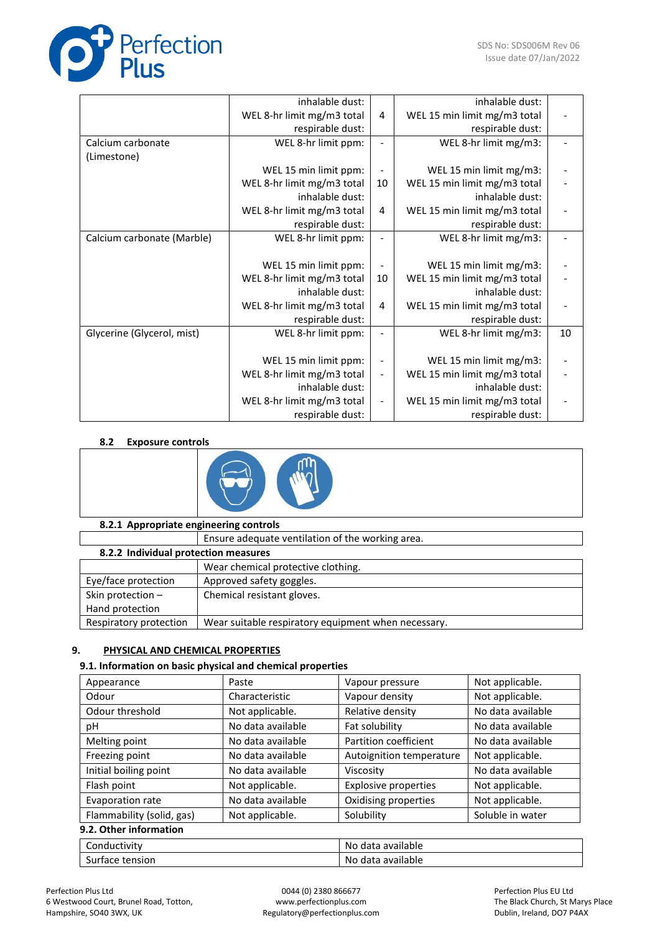

|                            | inhalable dust:            |                          | inhalable dust:              |    |
|----------------------------|----------------------------|--------------------------|------------------------------|----|
|                            | WEL 8-hr limit mg/m3 total | 4                        | WEL 15 min limit mg/m3 total |    |
|                            | respirable dust:           |                          | respirable dust:             |    |
| Calcium carbonate          | WEL 8-hr limit ppm:        |                          | WEL 8-hr limit mg/m3:        |    |
| (Limestone)                |                            |                          |                              |    |
|                            | WEL 15 min limit ppm:      |                          | WEL 15 min limit mg/m3:      |    |
|                            | WEL 8-hr limit mg/m3 total | 10                       | WEL 15 min limit mg/m3 total |    |
|                            | inhalable dust:            |                          | inhalable dust:              |    |
|                            | WEL 8-hr limit mg/m3 total | 4                        | WEL 15 min limit mg/m3 total |    |
|                            | respirable dust:           |                          | respirable dust:             |    |
| Calcium carbonate (Marble) | WEL 8-hr limit ppm:        |                          | WEL 8-hr limit mg/m3:        |    |
|                            |                            |                          |                              |    |
|                            | WEL 15 min limit ppm:      |                          | WEL 15 min limit mg/m3:      |    |
|                            | WEL 8-hr limit mg/m3 total | 10                       | WEL 15 min limit mg/m3 total |    |
|                            | inhalable dust:            |                          | inhalable dust:              |    |
|                            | WEL 8-hr limit mg/m3 total | 4                        | WEL 15 min limit mg/m3 total |    |
|                            | respirable dust:           |                          | respirable dust:             |    |
| Glycerine (Glycerol, mist) | WEL 8-hr limit ppm:        |                          | WEL 8-hr limit mg/m3:        | 10 |
|                            |                            |                          |                              |    |
|                            | WEL 15 min limit ppm:      |                          | WEL 15 min limit mg/m3:      |    |
|                            | WEL 8-hr limit mg/m3 total | $\overline{\phantom{a}}$ | WEL 15 min limit mg/m3 total |    |
|                            | inhalable dust:            |                          | inhalable dust:              |    |
|                            | WEL 8-hr limit mg/m3 total | $\overline{\phantom{a}}$ | WEL 15 min limit mg/m3 total |    |
|                            | respirable dust:           |                          | respirable dust:             |    |

# **8.2 Exposure controls**



# **8.2.1 Appropriate engineering controls**

|                                      | Ensure adequate ventilation of the working area.    |  |  |  |
|--------------------------------------|-----------------------------------------------------|--|--|--|
| 8.2.2 Individual protection measures |                                                     |  |  |  |
|                                      | Wear chemical protective clothing.                  |  |  |  |
| Eye/face protection                  | Approved safety goggles.                            |  |  |  |
| Skin protection -                    | Chemical resistant gloves.                          |  |  |  |
| Hand protection                      |                                                     |  |  |  |
| Respiratory protection               | Wear suitable respiratory equipment when necessary. |  |  |  |

# **9. PHYSICAL AND CHEMICAL PROPERTIES**

# **9.1. Information on basic physical and chemical properties**

| Appearance                                   | Paste             | Vapour pressure                | Not applicable.   |  |  |
|----------------------------------------------|-------------------|--------------------------------|-------------------|--|--|
| Odour                                        | Characteristic    | Vapour density                 | Not applicable.   |  |  |
| Odour threshold                              | Not applicable.   | Relative density               | No data available |  |  |
| рH                                           | No data available | Fat solubility                 | No data available |  |  |
| Melting point                                | No data available | Partition coefficient          | No data available |  |  |
| Freezing point                               | No data available | Autoignition temperature       | Not applicable.   |  |  |
| Initial boiling point                        | No data available | Viscosity                      | No data available |  |  |
| Flash point                                  | Not applicable.   | <b>Explosive properties</b>    | Not applicable.   |  |  |
| Evaporation rate                             | No data available | Oxidising properties           | Not applicable.   |  |  |
| Flammability (solid, gas)<br>Not applicable. |                   | Soluble in water<br>Solubility |                   |  |  |
| 9.2. Other information                       |                   |                                |                   |  |  |
| Conductivity                                 |                   | No data available              |                   |  |  |
| Surface tension                              |                   | No data available              |                   |  |  |

#### Perfection Plus Ltd 6 Westwood Court, Brunel Road, Totton, Hampshire, SO40 3WX, UK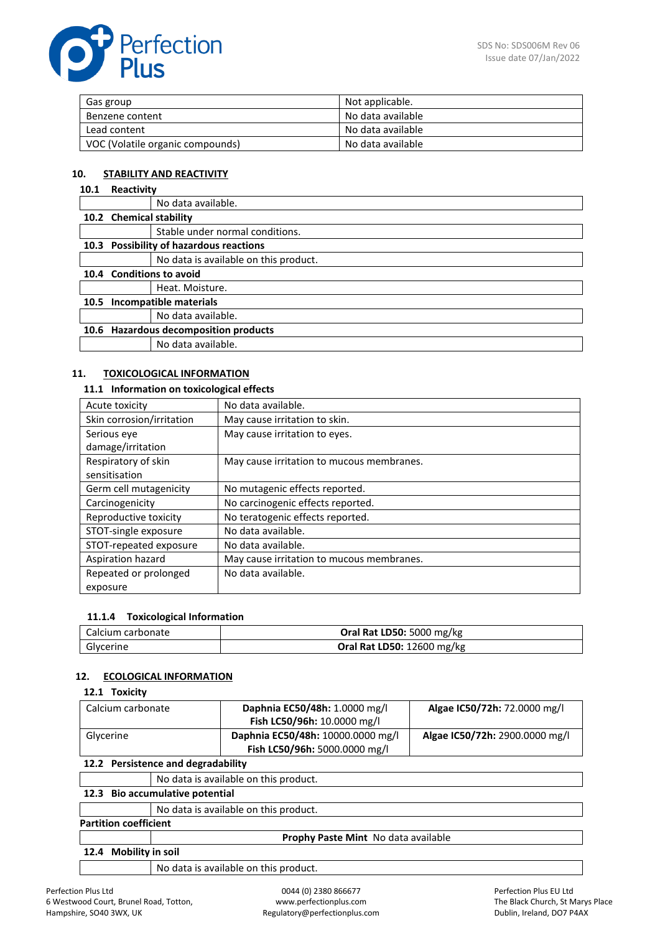

| Gas group                        | Not applicable.   |
|----------------------------------|-------------------|
| Benzene content                  | No data available |
| Lead content                     | No data available |
| VOC (Volatile organic compounds) | No data available |

# **10. STABILITY AND REACTIVITY**

### **10.1 Reactivity**

|      |                                       | No data available.                      |  |
|------|---------------------------------------|-----------------------------------------|--|
|      | 10.2 Chemical stability               |                                         |  |
|      |                                       | Stable under normal conditions.         |  |
|      |                                       | 10.3 Possibility of hazardous reactions |  |
|      |                                       | No data is available on this product.   |  |
|      | 10.4 Conditions to avoid              |                                         |  |
|      |                                       | Heat. Moisture.                         |  |
| 10.5 | Incompatible materials                |                                         |  |
|      |                                       | No data available.                      |  |
|      | 10.6 Hazardous decomposition products |                                         |  |
|      |                                       | No data available.                      |  |
|      |                                       |                                         |  |

# **11. TOXICOLOGICAL INFORMATION**

# **11.1 Information on toxicological effects**

| Acute toxicity            | No data available.                        |
|---------------------------|-------------------------------------------|
| Skin corrosion/irritation | May cause irritation to skin.             |
| Serious eve               | May cause irritation to eyes.             |
| damage/irritation         |                                           |
| Respiratory of skin       | May cause irritation to mucous membranes. |
| sensitisation             |                                           |
| Germ cell mutagenicity    | No mutagenic effects reported.            |
| Carcinogenicity           | No carcinogenic effects reported.         |
| Reproductive toxicity     | No teratogenic effects reported.          |
| STOT-single exposure      | No data available.                        |
| STOT-repeated exposure    | No data available.                        |
| Aspiration hazard         | May cause irritation to mucous membranes. |
| Repeated or prolonged     | No data available.                        |
| exposure                  |                                           |

# **11.1.4 Toxicological Information**

| Calcium carbonate | Oral Rat LD50: 5000 mg/kg         |
|-------------------|-----------------------------------|
| Glycerine         | <b>Oral Rat LD50: 12600 mg/kg</b> |

# **12. ECOLOGICAL INFORMATION**

# **12.1 Toxicity**

| Calcium carbonate                  |  | Daphnia EC50/48h: 1.0000 mg/l         | Algae IC50/72h: 72.0000 mg/l   |
|------------------------------------|--|---------------------------------------|--------------------------------|
|                                    |  | Fish LC50/96h: 10.0000 mg/l           |                                |
| Glycerine                          |  | Daphnia EC50/48h: 10000.0000 mg/l     | Algae IC50/72h: 2900.0000 mg/l |
|                                    |  | Fish LC50/96h: 5000.0000 mg/l         |                                |
| 12.2 Persistence and degradability |  |                                       |                                |
|                                    |  | No data is available on this product. |                                |

# **12.3 Bio accumulative potential**

No data is available on this product.

### **Partition coefficient**

**Prophy Paste Mint** No data available

#### **12.4 Mobility in soil**

No data is available on this product.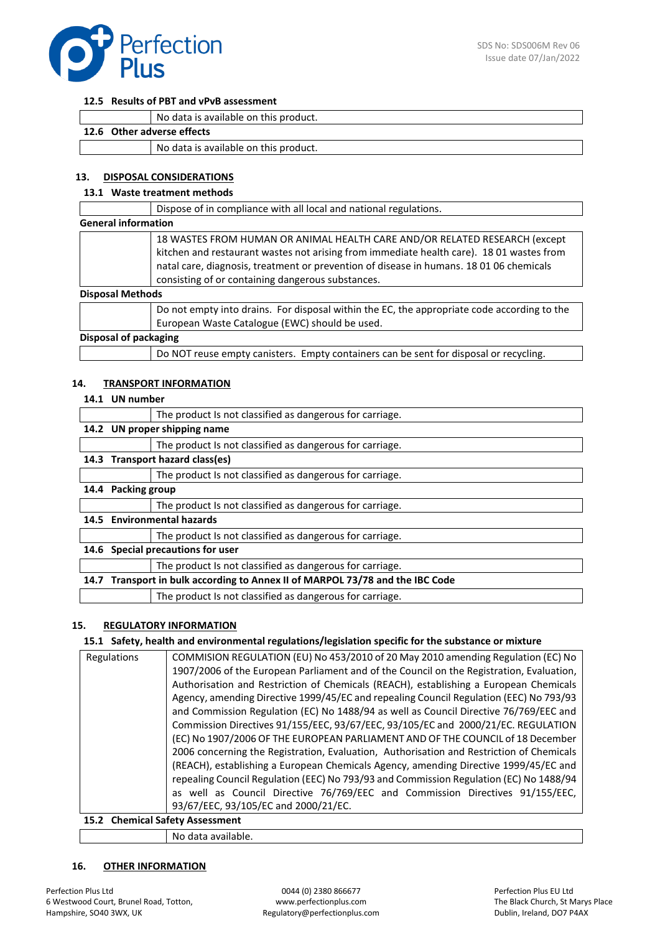

#### **12.5 Results of PBT and vPvB assessment**

| No data is available on this product. |                                       |  |
|---------------------------------------|---------------------------------------|--|
| 12.6 Other adverse effects            |                                       |  |
|                                       | No data is available on this product. |  |

### **13. DISPOSAL CONSIDERATIONS**

### **13.1 Waste treatment methods**

|                            | Dispose of in compliance with all local and national regulations.                                                                                                                                                                                                                                                      |  |
|----------------------------|------------------------------------------------------------------------------------------------------------------------------------------------------------------------------------------------------------------------------------------------------------------------------------------------------------------------|--|
| <b>General information</b> |                                                                                                                                                                                                                                                                                                                        |  |
|                            | 18 WASTES FROM HUMAN OR ANIMAL HEALTH CARE AND/OR RELATED RESEARCH (except<br>kitchen and restaurant wastes not arising from immediate health care). 18 01 wastes from<br>natal care, diagnosis, treatment or prevention of disease in humans. 18 01 06 chemicals<br>consisting of or containing dangerous substances. |  |
| <b>Disposal Methods</b>    |                                                                                                                                                                                                                                                                                                                        |  |
|                            | Do not empty into drains. For disposal within the EC, the appropriate code according to the<br>European Waste Catalogue (EWC) should be used.                                                                                                                                                                          |  |
| Disposal of packaging      |                                                                                                                                                                                                                                                                                                                        |  |
|                            | Do NOT reuse empty canisters. Empty containers can be sent for disposal or recycling.                                                                                                                                                                                                                                  |  |

### **14. TRANSPORT INFORMATION**

### **14.1 UN number**

|      |                                   | The product Is not classified as dangerous for carriage.                 |  |
|------|-----------------------------------|--------------------------------------------------------------------------|--|
| 14.2 | UN proper shipping name           |                                                                          |  |
|      |                                   | The product Is not classified as dangerous for carriage.                 |  |
|      |                                   | 14.3 Transport hazard class(es)                                          |  |
|      |                                   | The product Is not classified as dangerous for carriage.                 |  |
| 14.4 | <b>Packing group</b>              |                                                                          |  |
|      |                                   | The product Is not classified as dangerous for carriage.                 |  |
|      |                                   | 14.5 Environmental hazards                                               |  |
|      |                                   | The product Is not classified as dangerous for carriage.                 |  |
|      | 14.6 Special precautions for user |                                                                          |  |
|      |                                   | The product Is not classified as dangerous for carriage.                 |  |
| 14.7 |                                   | Transport in bulk according to Annex II of MARPOL 73/78 and the IBC Code |  |
|      |                                   | The product Is not classified as dangerous for carriage.                 |  |

# **15. REGULATORY INFORMATION**

### **15.1 Safety, health and environmental regulations/legislation specific for the substance or mixture**

| Regulations | COMMISION REGULATION (EU) No 453/2010 of 20 May 2010 amending Regulation (EC) No         |  |
|-------------|------------------------------------------------------------------------------------------|--|
|             | 1907/2006 of the European Parliament and of the Council on the Registration, Evaluation, |  |
|             | Authorisation and Restriction of Chemicals (REACH), establishing a European Chemicals    |  |
|             | Agency, amending Directive 1999/45/EC and repealing Council Regulation (EEC) No 793/93   |  |
|             | and Commission Regulation (EC) No 1488/94 as well as Council Directive 76/769/EEC and    |  |
|             | Commission Directives 91/155/EEC, 93/67/EEC, 93/105/EC and 2000/21/EC. REGULATION        |  |
|             | (EC) No 1907/2006 OF THE EUROPEAN PARLIAMENT AND OF THE COUNCIL of 18 December           |  |
|             | 2006 concerning the Registration, Evaluation, Authorisation and Restriction of Chemicals |  |
|             | (REACH), establishing a European Chemicals Agency, amending Directive 1999/45/EC and     |  |
|             | repealing Council Regulation (EEC) No 793/93 and Commission Regulation (EC) No 1488/94   |  |
|             | as well as Council Directive 76/769/EEC and Commission Directives 91/155/EEC,            |  |
|             | 93/67/EEC, 93/105/EC and 2000/21/EC.                                                     |  |
|             | 15.2 Chemical Safety Assessment                                                          |  |

No data available.

### **16. OTHER INFORMATION**